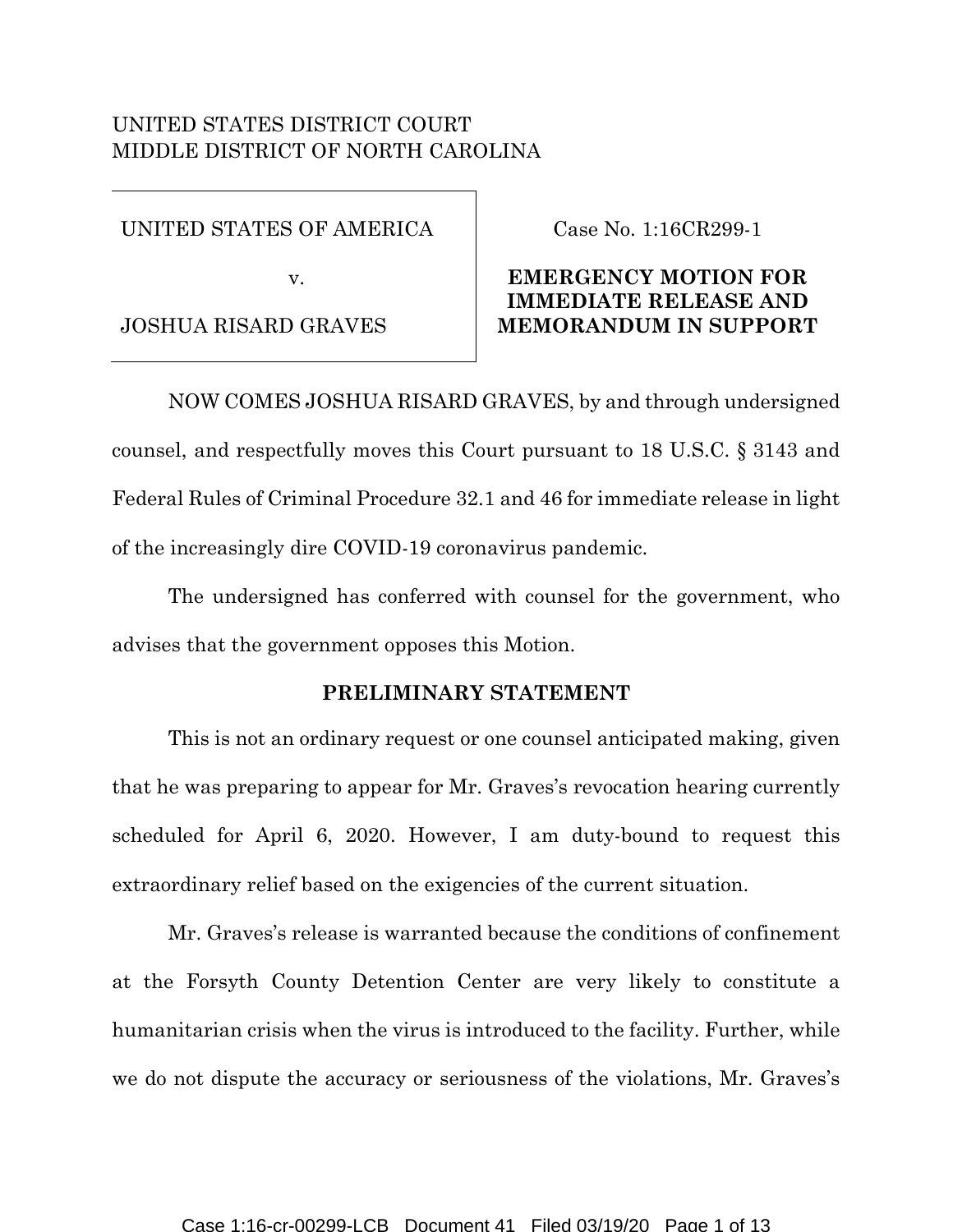## UNITED STATES DISTRICT COURT MIDDLE DISTRICT OF NORTH CAROLINA

UNITED STATES OF AMERICA

v.

JOSHUA RISARD GRAVES

### Case No. 1:16CR299-1

### **EMERGENCY MOTION FOR IMMEDIATE RELEASE AND MEMORANDUM IN SUPPORT**

NOW COMES JOSHUA RISARD GRAVES, by and through undersigned counsel, and respectfully moves this Court pursuant to 18 U.S.C. § 3143 and Federal Rules of Criminal Procedure 32.1 and 46 for immediate release in light of the increasingly dire COVID-19 coronavirus pandemic.

The undersigned has conferred with counsel for the government, who advises that the government opposes this Motion.

### **PRELIMINARY STATEMENT**

This is not an ordinary request or one counsel anticipated making, given that he was preparing to appear for Mr. Graves's revocation hearing currently scheduled for April 6, 2020. However, I am duty-bound to request this extraordinary relief based on the exigencies of the current situation.

Mr. Graves's release is warranted because the conditions of confinement at the Forsyth County Detention Center are very likely to constitute a humanitarian crisis when the virus is introduced to the facility. Further, while we do not dispute the accuracy or seriousness of the violations, Mr. Graves's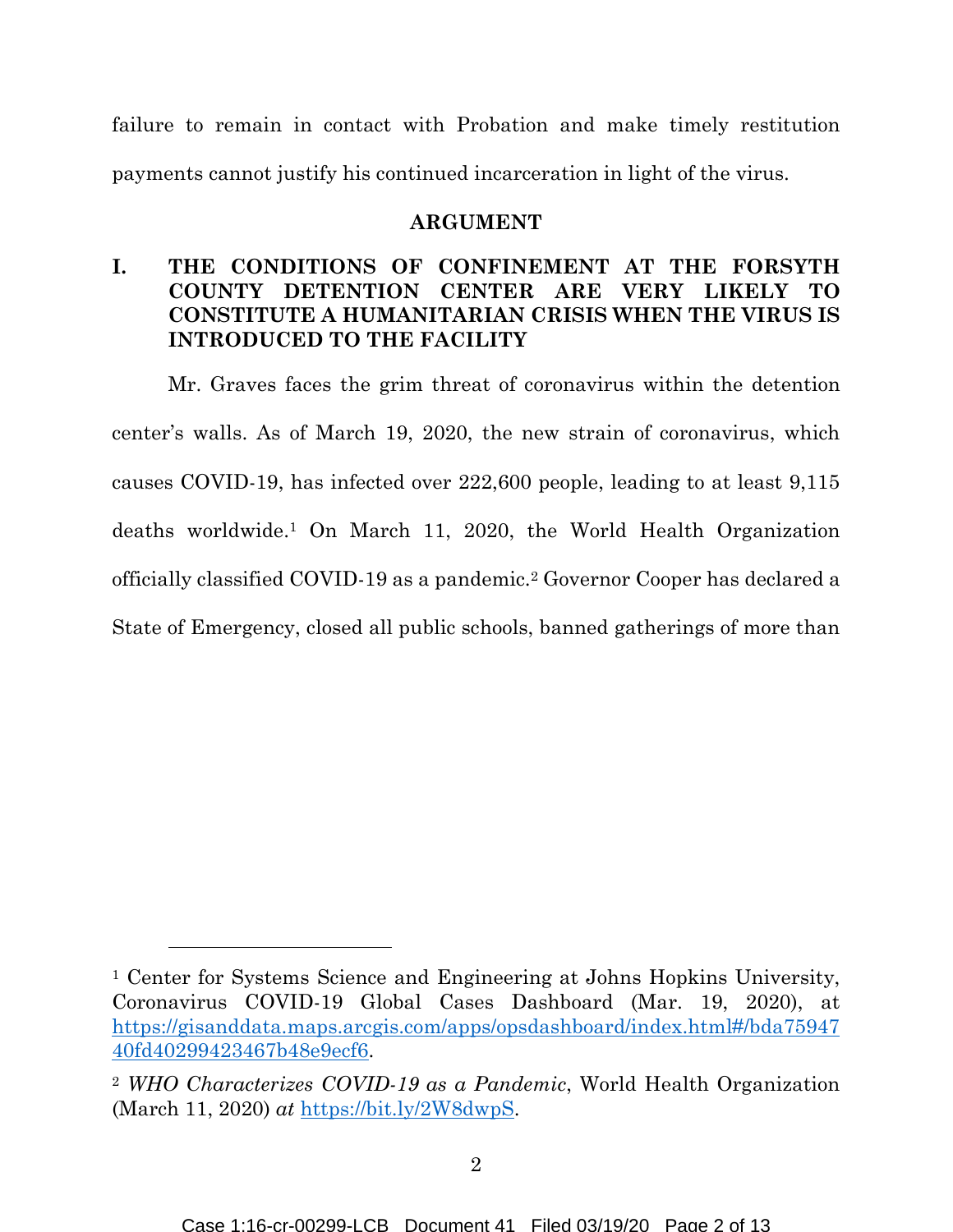failure to remain in contact with Probation and make timely restitution payments cannot justify his continued incarceration in light of the virus.

#### **ARGUMENT**

# **I. THE CONDITIONS OF CONFINEMENT AT THE FORSYTH COUNTY DETENTION CENTER ARE VERY LIKELY TO CONSTITUTE A HUMANITARIAN CRISIS WHEN THE VIRUS IS INTRODUCED TO THE FACILITY**

Mr. Graves faces the grim threat of coronavirus within the detention center's walls. As of March 19, 2020, the new strain of coronavirus, which causes COVID-19, has infected over 222,600 people, leading to at least 9,115 deaths worldwide.1 On March 11, 2020, the World Health Organization officially classified COVID-19 as a pandemic.2 Governor Cooper has declared a State of Emergency, closed all public schools, banned gatherings of more than

<sup>1</sup> Center for Systems Science and Engineering at Johns Hopkins University, Coronavirus COVID-19 Global Cases Dashboard (Mar. 19, 2020), at [https://gisanddata.maps.arcgis.com/apps/opsdashboard/index.html#/bda75947](https://gisanddata.maps.arcgis.com/apps/opsdashboard/index.html#/bda7594740fd40299423467b48e9ecf6) [40fd40299423467b48e9ecf6.](https://gisanddata.maps.arcgis.com/apps/opsdashboard/index.html#/bda7594740fd40299423467b48e9ecf6)

<sup>2</sup> *WHO Characterizes COVID-19 as a Pandemic*, World Health Organization (March 11, 2020) *at* [https://bit.ly/2W8dwpS.](https://bit.ly/2W8dwpS)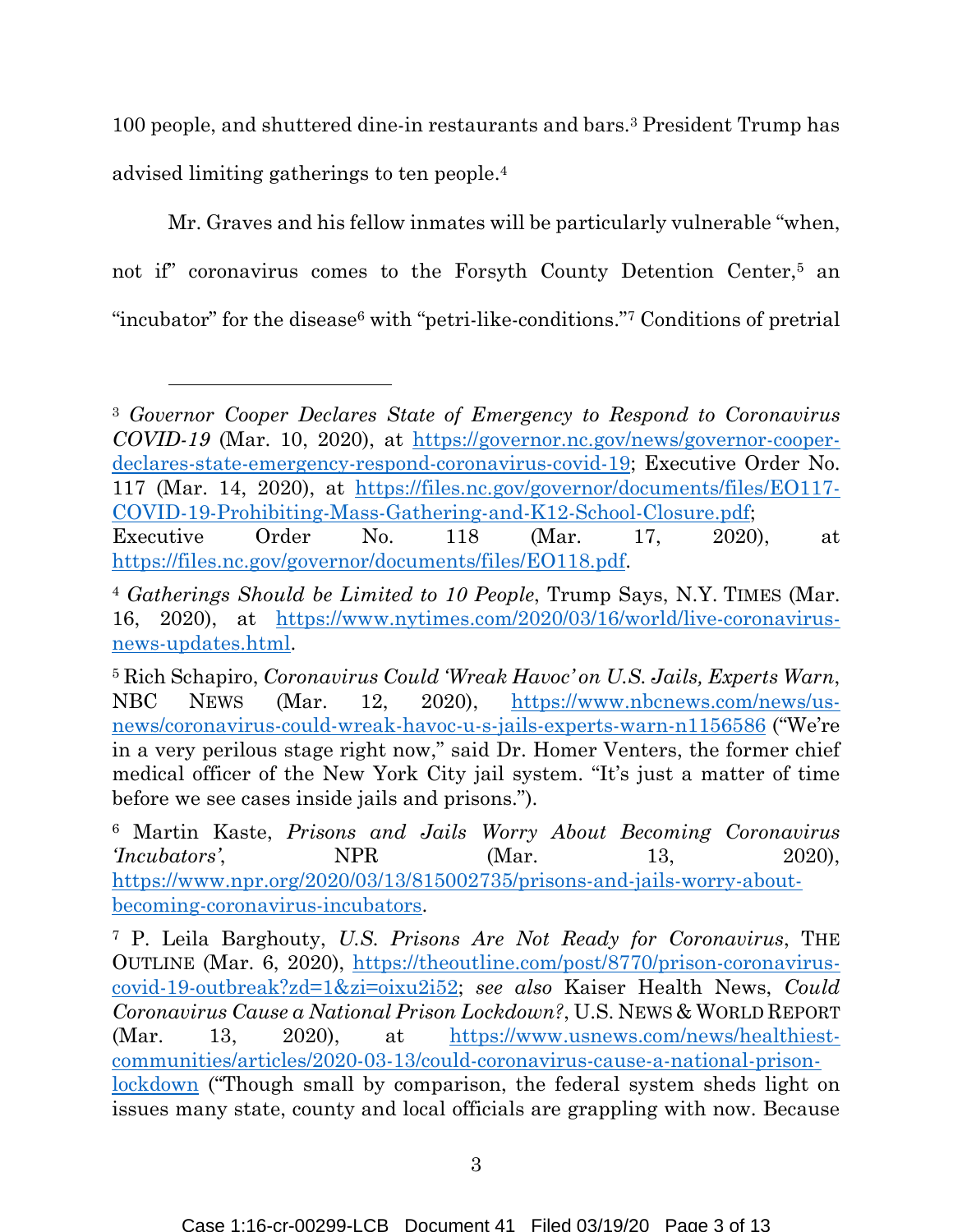100 people, and shuttered dine-in restaurants and bars.3 President Trump has advised limiting gatherings to ten people.<sup>4</sup>

Mr. Graves and his fellow inmates will be particularly vulnerable "when, not if" coronavirus comes to the Forsyth County Detention Center,5 an "incubator" for the disease<sup>6</sup> with "petri-like-conditions."<sup>7</sup> Conditions of pretrial

<sup>3</sup> *Governor Cooper Declares State of Emergency to Respond to Coronavirus COVID-19* (Mar. 10, 2020), at [https://governor.nc.gov/news/governor-cooper](https://governor.nc.gov/news/governor-cooper-declares-state-emergency-respond-coronavirus-covid-19)[declares-state-emergency-respond-coronavirus-covid-19;](https://governor.nc.gov/news/governor-cooper-declares-state-emergency-respond-coronavirus-covid-19) Executive Order No. 117 (Mar. 14, 2020), at [https://files.nc.gov/governor/documents/files/EO117-](https://files.nc.gov/governor/documents/files/EO117-COVID-19-Prohibiting-Mass-Gathering-and-K12-School-Closure.pdf) [COVID-19-Prohibiting-Mass-Gathering-and-K12-School-Closure.pdf;](https://files.nc.gov/governor/documents/files/EO117-COVID-19-Prohibiting-Mass-Gathering-and-K12-School-Closure.pdf) Executive Order No. 118 (Mar. 17, 2020), at

[https://files.nc.gov/governor/documents/files/EO118.pdf.](https://files.nc.gov/governor/documents/files/EO118.pdf)

<sup>4</sup> *Gatherings Should be Limited to 10 People*, Trump Says, N.Y. TIMES (Mar. 16, 2020), at https://www.nytimes.com/2020/03/16/world/live-coronavirusnews-updates.html.

<sup>5</sup> Rich Schapiro, *Coronavirus Could 'Wreak Havoc' on U.S. Jails, Experts Warn*, NBC NEWS (Mar. 12, 2020), [https://www.nbcnews.com/news/us](https://www.nbcnews.com/news/us-news/coronavirus-could-wreak-havoc-u-s-jails-experts-warn-n1156586)[news/coronavirus-could-wreak-havoc-u-s-jails-experts-warn-n1156586](https://www.nbcnews.com/news/us-news/coronavirus-could-wreak-havoc-u-s-jails-experts-warn-n1156586) ("We're in a very perilous stage right now," said Dr. Homer Venters, the former chief medical officer of the New York City jail system. "It's just a matter of time before we see cases inside jails and prisons.").

<sup>6</sup> Martin Kaste, *Prisons and Jails Worry About Becoming Coronavirus 'Incubators'*, NPR (Mar. 13, 2020), [https://www.npr.org/2020/03/13/815002735/prisons-and-jails-worry-about](https://www.npr.org/2020/03/13/815002735/prisons-and-jails-worry-about-becoming-coronavirus-incubators)[becoming-coronavirus-incubators.](https://www.npr.org/2020/03/13/815002735/prisons-and-jails-worry-about-becoming-coronavirus-incubators)

<sup>7</sup> P. Leila Barghouty, *U.S. Prisons Are Not Ready for Coronavirus*, THE OUTLINE (Mar. 6, 2020), [https://theoutline.com/post/8770/prison-coronavirus](https://theoutline.com/post/8770/prison-coronavirus-covid-19-outbreak?zd=1&zi=oixu2i52)[covid-19-outbreak?zd=1&zi=oixu2i52;](https://theoutline.com/post/8770/prison-coronavirus-covid-19-outbreak?zd=1&zi=oixu2i52) *see also* Kaiser Health News, *Could Coronavirus Cause a National Prison Lockdown?*, U.S. NEWS & WORLD REPORT (Mar. 13, 2020), at [https://www.usnews.com/news/healthiest](https://www.usnews.com/news/healthiest-communities/articles/2020-03-13/could-coronavirus-cause-a-national-prison-lockdown)[communities/articles/2020-03-13/could-coronavirus-cause-a-national-prison](https://www.usnews.com/news/healthiest-communities/articles/2020-03-13/could-coronavirus-cause-a-national-prison-lockdown)[lockdown](https://www.usnews.com/news/healthiest-communities/articles/2020-03-13/could-coronavirus-cause-a-national-prison-lockdown) ("Though small by comparison, the federal system sheds light on issues many state, county and local officials are grappling with now. Because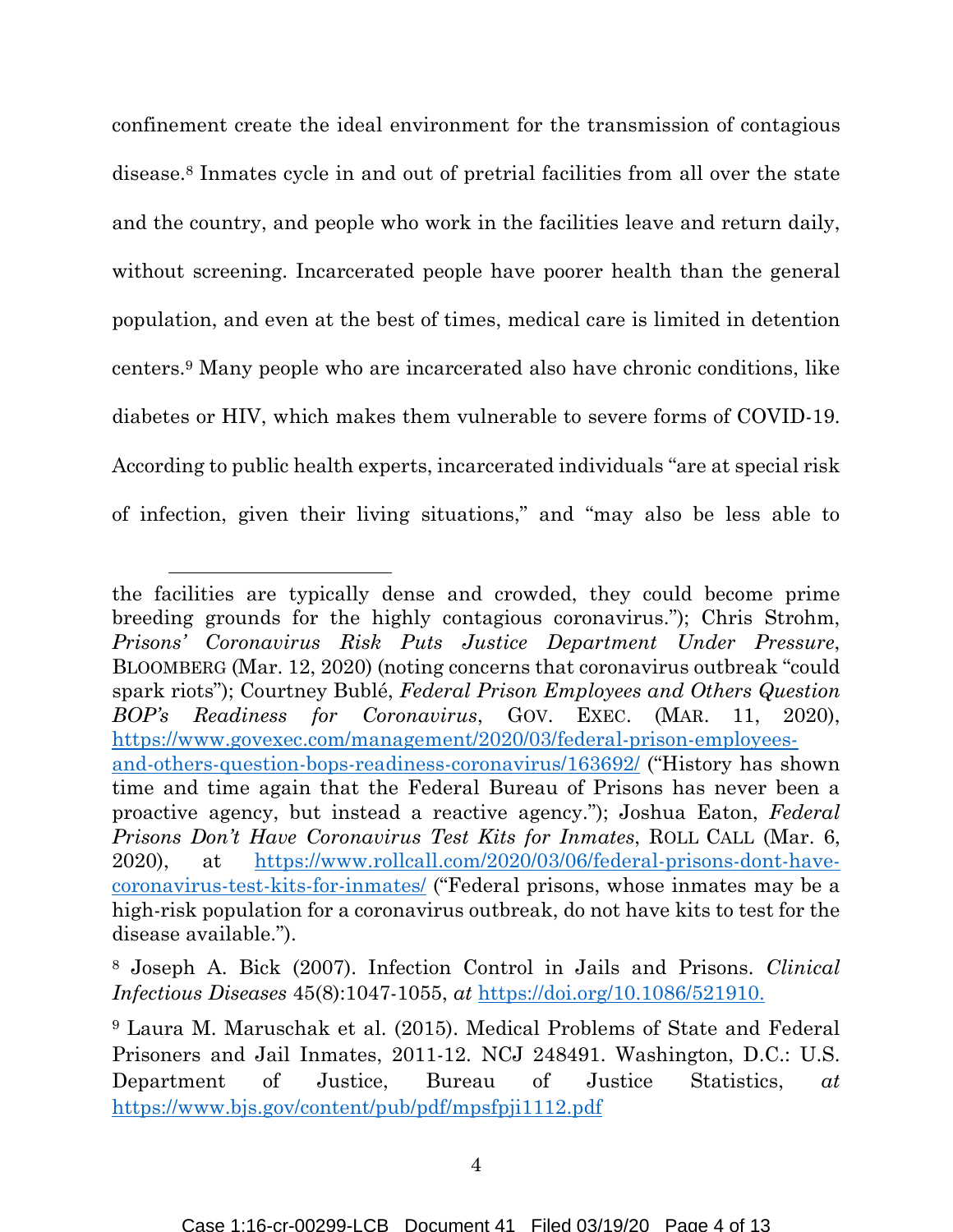confinement create the ideal environment for the transmission of contagious disease.8 Inmates cycle in and out of pretrial facilities from all over the state and the country, and people who work in the facilities leave and return daily, without screening. Incarcerated people have poorer health than the general population, and even at the best of times, medical care is limited in detention centers.9 Many people who are incarcerated also have chronic conditions, like diabetes or HIV, which makes them vulnerable to severe forms of COVID-19. According to public health experts, incarcerated individuals "are at special risk of infection, given their living situations," and "may also be less able to

 $\overline{a}$ 

the facilities are typically dense and crowded, they could become prime breeding grounds for the highly contagious coronavirus."); Chris Strohm, *Prisons' Coronavirus Risk Puts Justice Department Under Pressure*, BLOOMBERG (Mar. 12, 2020) (noting concerns that coronavirus outbreak "could spark riots"); Courtney Bublé, *Federal Prison Employees and Others Question BOP's Readiness for Coronavirus*, GOV. EXEC. (MAR. 11, 2020), [https://www.govexec.com/management/2020/03/federal-prison-employees](https://www.govexec.com/management/2020/03/federal-prison-employees-and-others-question-bops-readiness-coronavirus/163692/)[and-others-question-bops-readiness-coronavirus/163692/](https://www.govexec.com/management/2020/03/federal-prison-employees-and-others-question-bops-readiness-coronavirus/163692/) ("History has shown time and time again that the Federal Bureau of Prisons has never been a proactive agency, but instead a reactive agency."); Joshua Eaton, *Federal Prisons Don't Have Coronavirus Test Kits for Inmates*, ROLL CALL (Mar. 6, 2020), at [https://www.rollcall.com/2020/03/06/federal-prisons-dont-have](https://www.rollcall.com/2020/03/06/federal-prisons-dont-have-coronavirus-test-kits-for-inmates/)[coronavirus-test-kits-for-inmates/](https://www.rollcall.com/2020/03/06/federal-prisons-dont-have-coronavirus-test-kits-for-inmates/) ("Federal prisons, whose inmates may be a high-risk population for a coronavirus outbreak, do not have kits to test for the disease available.").

<sup>8</sup> Joseph A. Bick (2007). Infection Control in Jails and Prisons. *Clinical Infectious Diseases* 45(8):1047-1055, *at* [https://doi.org/10.1086/521910.](https://doi.org/10.1086/521910)

<sup>9</sup> Laura M. Maruschak et al. (2015). Medical Problems of State and Federal Prisoners and Jail Inmates, 2011-12. NCJ 248491. Washington, D.C.: U.S. Department of Justice, Bureau of Justice Statistics, *at*  <https://www.bjs.gov/content/pub/pdf/mpsfpji1112.pdf>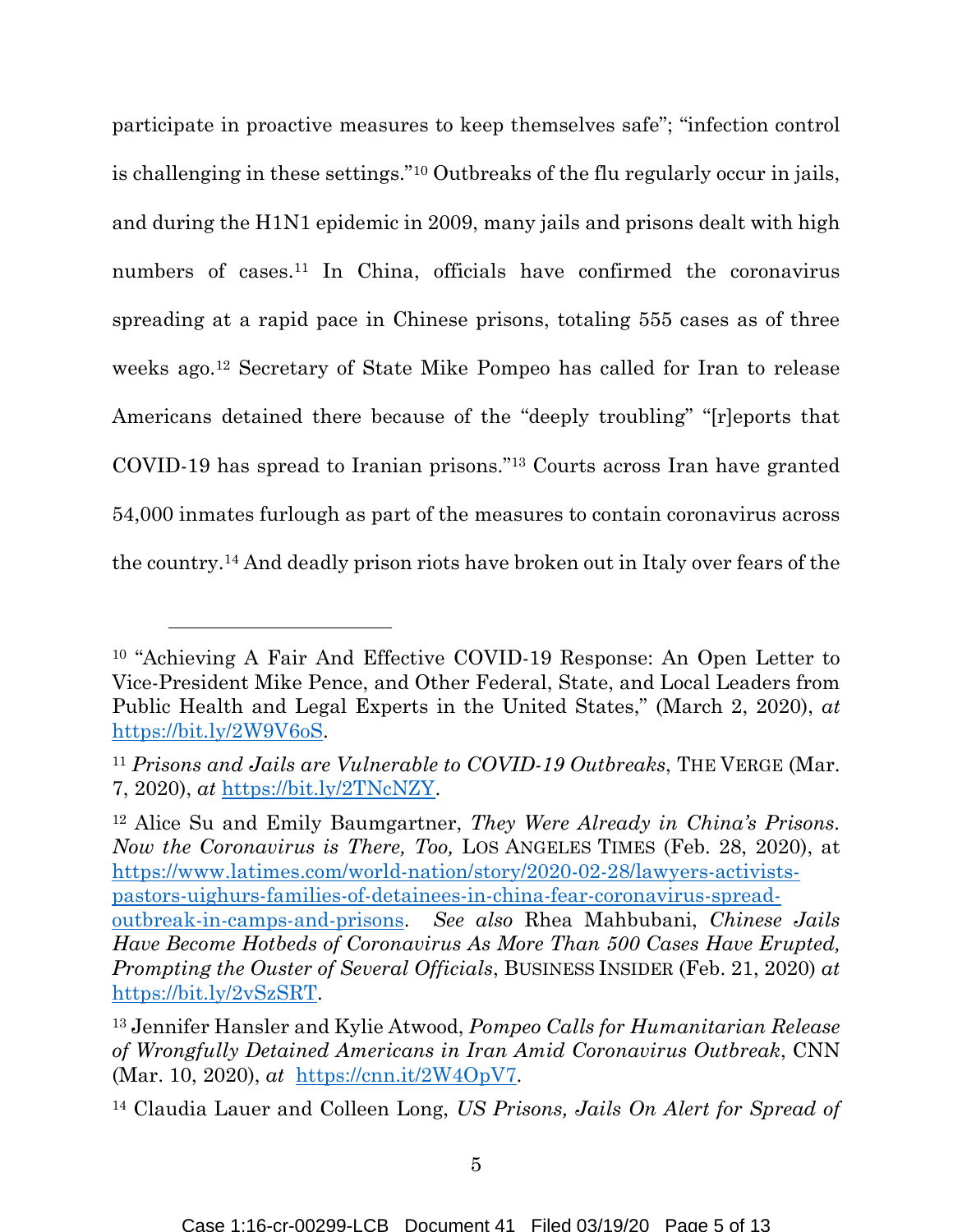participate in proactive measures to keep themselves safe"; "infection control is challenging in these settings."10 Outbreaks of the flu regularly occur in jails, and during the H1N1 epidemic in 2009, many jails and prisons dealt with high numbers of cases.11 In China, officials have confirmed the coronavirus spreading at a rapid pace in Chinese prisons, totaling 555 cases as of three weeks ago.12 Secretary of State Mike Pompeo has called for Iran to release Americans detained there because of the "deeply troubling" "[r]eports that COVID-19 has spread to Iranian prisons."13 Courts across Iran have granted 54,000 inmates furlough as part of the measures to contain coronavirus across the country.14 And deadly prison riots have broken out in Italy over fears of the

<sup>12</sup> Alice Su and Emily Baumgartner, *They Were Already in China's Prisons. Now the Coronavirus is There, Too,* LOS ANGELES TIMES (Feb. 28, 2020), at [https://www.latimes.com/world-nation/story/2020-02-28/lawyers-activists](https://www.latimes.com/world-nation/story/2020-02-28/lawyers-activists-pastors-uighurs-families-of-detainees-in-china-fear-coronavirus-spread-outbreak-in-camps-and-prisons)[pastors-uighurs-families-of-detainees-in-china-fear-coronavirus-spread](https://www.latimes.com/world-nation/story/2020-02-28/lawyers-activists-pastors-uighurs-families-of-detainees-in-china-fear-coronavirus-spread-outbreak-in-camps-and-prisons)[outbreak-in-camps-and-prisons.](https://www.latimes.com/world-nation/story/2020-02-28/lawyers-activists-pastors-uighurs-families-of-detainees-in-china-fear-coronavirus-spread-outbreak-in-camps-and-prisons) *See also* Rhea Mahbubani, *Chinese Jails Have Become Hotbeds of Coronavirus As More Than 500 Cases Have Erupted, Prompting the Ouster of Several Officials*, BUSINESS INSIDER (Feb. 21, 2020) *at*  [https://bit.ly/2vSzSRT.](https://bit.ly/2vSzSRT)

<sup>10</sup> "Achieving A Fair And Effective COVID-19 Response: An Open Letter to Vice-President Mike Pence, and Other Federal, State, and Local Leaders from Public Health and Legal Experts in the United States," (March 2, 2020), *at*  [https://bit.ly/2W9V6oS.](https://bit.ly/2W9V6oS)

<sup>11</sup> *Prisons and Jails are Vulnerable to COVID-19 Outbreaks*, THE VERGE (Mar. 7, 2020), *at* [https://bit.ly/2TNcNZY.](https://bit.ly/2TNcNZY)

<sup>13</sup> Jennifer Hansler and Kylie Atwood, *Pompeo Calls for Humanitarian Release of Wrongfully Detained Americans in Iran Amid Coronavirus Outbreak*, CNN (Mar. 10, 2020), *at* [https://cnn.it/2W4OpV7.](https://cnn.it/2W4OpV7)

<sup>14</sup> Claudia Lauer and Colleen Long, *US Prisons, Jails On Alert for Spread of*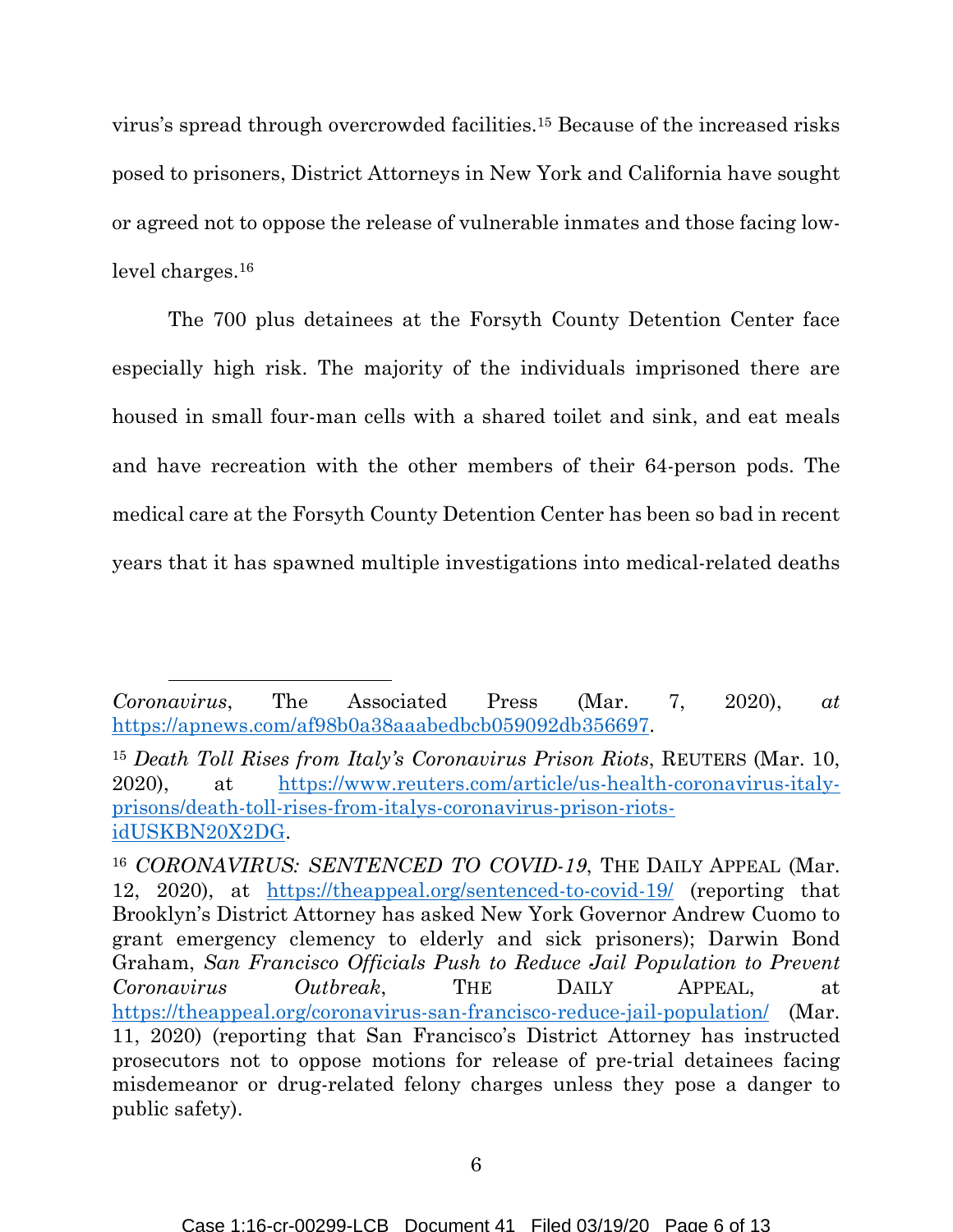virus's spread through overcrowded facilities.15 Because of the increased risks posed to prisoners, District Attorneys in New York and California have sought or agreed not to oppose the release of vulnerable inmates and those facing lowlevel charges.<sup>16</sup>

The 700 plus detainees at the Forsyth County Detention Center face especially high risk. The majority of the individuals imprisoned there are housed in small four-man cells with a shared toilet and sink, and eat meals and have recreation with the other members of their 64-person pods. The medical care at the Forsyth County Detention Center has been so bad in recent years that it has spawned multiple investigations into medical-related deaths

*Coronavirus*, The Associated Press (Mar. 7, 2020), *at* [https://apnews.com/af98b0a38aaabedbcb059092db356697.](https://apnews.com/af98b0a38aaabedbcb059092db356697)

<sup>15</sup> *Death Toll Rises from Italy's Coronavirus Prison Riots*, REUTERS (Mar. 10, 2020), at [https://www.reuters.com/article/us-health-coronavirus-italy](https://www.reuters.com/article/us-health-coronavirus-italy-prisons/death-toll-rises-from-italys-coronavirus-prison-riots-idUSKBN20X2DG)[prisons/death-toll-rises-from-italys-coronavirus-prison-riots](https://www.reuters.com/article/us-health-coronavirus-italy-prisons/death-toll-rises-from-italys-coronavirus-prison-riots-idUSKBN20X2DG)[idUSKBN20X2DG.](https://www.reuters.com/article/us-health-coronavirus-italy-prisons/death-toll-rises-from-italys-coronavirus-prison-riots-idUSKBN20X2DG)

<sup>16</sup> *CORONAVIRUS: SENTENCED TO COVID-19*, THE DAILY APPEAL (Mar. 12, 2020), at <https://theappeal.org/sentenced-to-covid-19/>(reporting that Brooklyn's District Attorney has asked New York Governor Andrew Cuomo to grant emergency clemency to elderly and sick prisoners); Darwin Bond Graham, *San Francisco Officials Push to Reduce Jail Population to Prevent Coronavirus Outbreak*, THE DAILY APPEAL, at <https://theappeal.org/coronavirus-san-francisco-reduce-jail-population/>(Mar. 11, 2020) (reporting that San Francisco's District Attorney has instructed prosecutors not to oppose motions for release of pre-trial detainees facing misdemeanor or drug-related felony charges unless they pose a danger to public safety).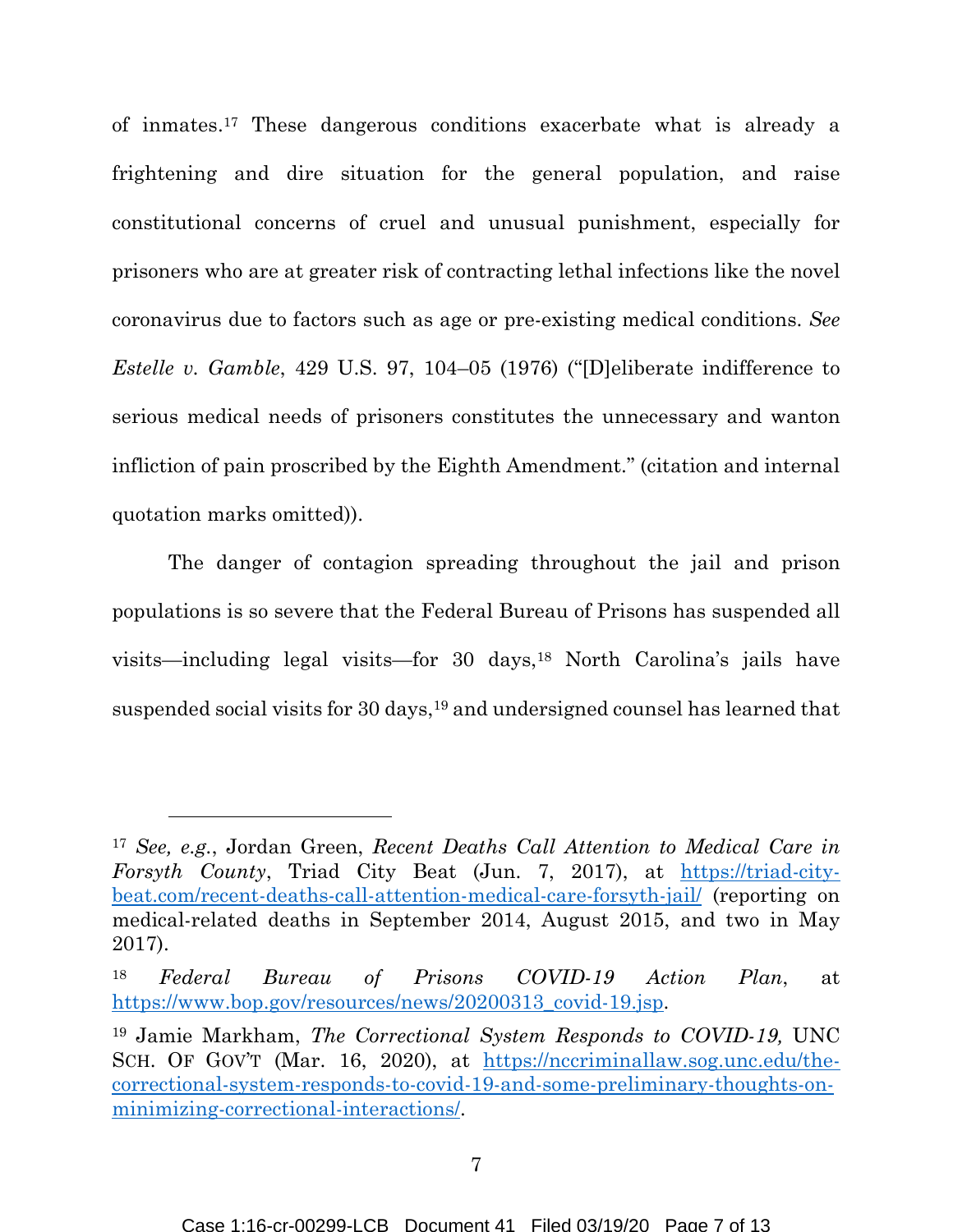of inmates.17 These dangerous conditions exacerbate what is already a frightening and dire situation for the general population, and raise constitutional concerns of cruel and unusual punishment, especially for prisoners who are at greater risk of contracting lethal infections like the novel coronavirus due to factors such as age or pre-existing medical conditions. *See Estelle v. Gamble*, 429 U.S. 97, 104–05 (1976) ("[D]eliberate indifference to serious medical needs of prisoners constitutes the unnecessary and wanton infliction of pain proscribed by the Eighth Amendment." (citation and internal quotation marks omitted)).

The danger of contagion spreading throughout the jail and prison populations is so severe that the Federal Bureau of Prisons has suspended all visits—including legal visits—for 30 days,<sup>18</sup> North Carolina's jails have suspended social visits for 30 days,<sup>19</sup> and undersigned counsel has learned that

 $\overline{a}$ 

<sup>17</sup> *See, e.g.*, Jordan Green, *Recent Deaths Call Attention to Medical Care in Forsyth County*, Triad City Beat (Jun. 7, 2017), at [https://triad-city](https://triad-city-beat.com/recent-deaths-call-attention-medical-care-forsyth-jail/)[beat.com/recent-deaths-call-attention-medical-care-forsyth-jail/](https://triad-city-beat.com/recent-deaths-call-attention-medical-care-forsyth-jail/) (reporting on medical-related deaths in September 2014, August 2015, and two in May 2017).

<sup>18</sup> *Federal Bureau of Prisons COVID-19 Action Plan*, at [https://www.bop.gov/resources/news/20200313\\_covid-19.jsp.](https://www.bop.gov/resources/news/20200313_covid-19.jsp)

<sup>19</sup> Jamie Markham, *The Correctional System Responds to COVID-19,* UNC SCH. OF GOV'T (Mar. 16, 2020), at [https://nccriminallaw.sog.unc.edu/the](https://nccriminallaw.sog.unc.edu/the-correctional-system-responds-to-covid-19-and-some-preliminary-thoughts-on-minimizing-correctional-interactions/)[correctional-system-responds-to-covid-19-and-some-preliminary-thoughts-on](https://nccriminallaw.sog.unc.edu/the-correctional-system-responds-to-covid-19-and-some-preliminary-thoughts-on-minimizing-correctional-interactions/)[minimizing-correctional-interactions/.](https://nccriminallaw.sog.unc.edu/the-correctional-system-responds-to-covid-19-and-some-preliminary-thoughts-on-minimizing-correctional-interactions/)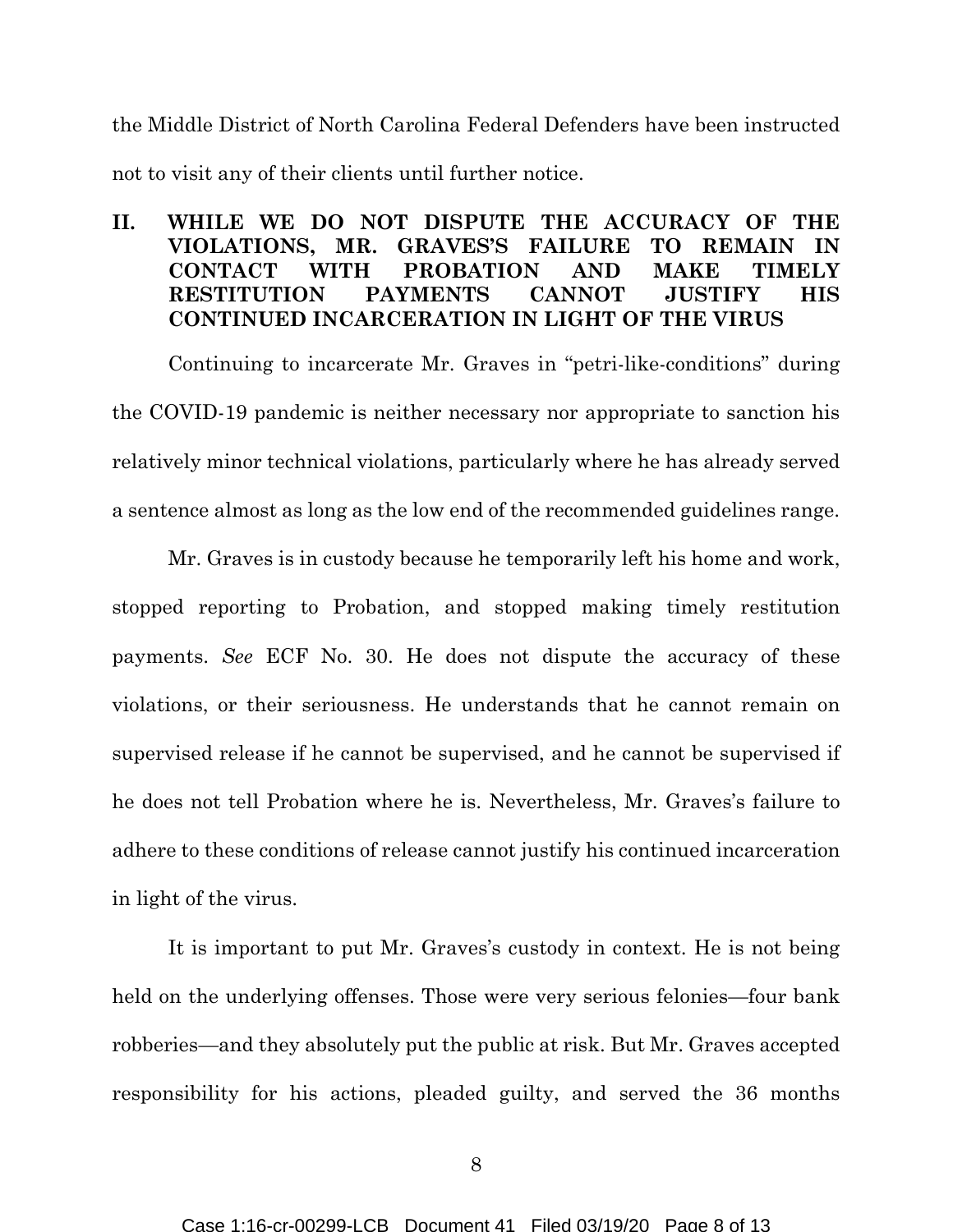the Middle District of North Carolina Federal Defenders have been instructed not to visit any of their clients until further notice.

## **II. WHILE WE DO NOT DISPUTE THE ACCURACY OF THE VIOLATIONS, MR. GRAVES'S FAILURE TO REMAIN IN CONTACT WITH PROBATION AND MAKE TIMELY RESTITUTION PAYMENTS CANNOT JUSTIFY HIS CONTINUED INCARCERATION IN LIGHT OF THE VIRUS**

Continuing to incarcerate Mr. Graves in "petri-like-conditions" during the COVID-19 pandemic is neither necessary nor appropriate to sanction his relatively minor technical violations, particularly where he has already served a sentence almost as long as the low end of the recommended guidelines range.

Mr. Graves is in custody because he temporarily left his home and work, stopped reporting to Probation, and stopped making timely restitution payments. *See* ECF No. 30. He does not dispute the accuracy of these violations, or their seriousness. He understands that he cannot remain on supervised release if he cannot be supervised, and he cannot be supervised if he does not tell Probation where he is. Nevertheless, Mr. Graves's failure to adhere to these conditions of release cannot justify his continued incarceration in light of the virus.

It is important to put Mr. Graves's custody in context. He is not being held on the underlying offenses. Those were very serious felonies—four bank robberies—and they absolutely put the public at risk. But Mr. Graves accepted responsibility for his actions, pleaded guilty, and served the 36 months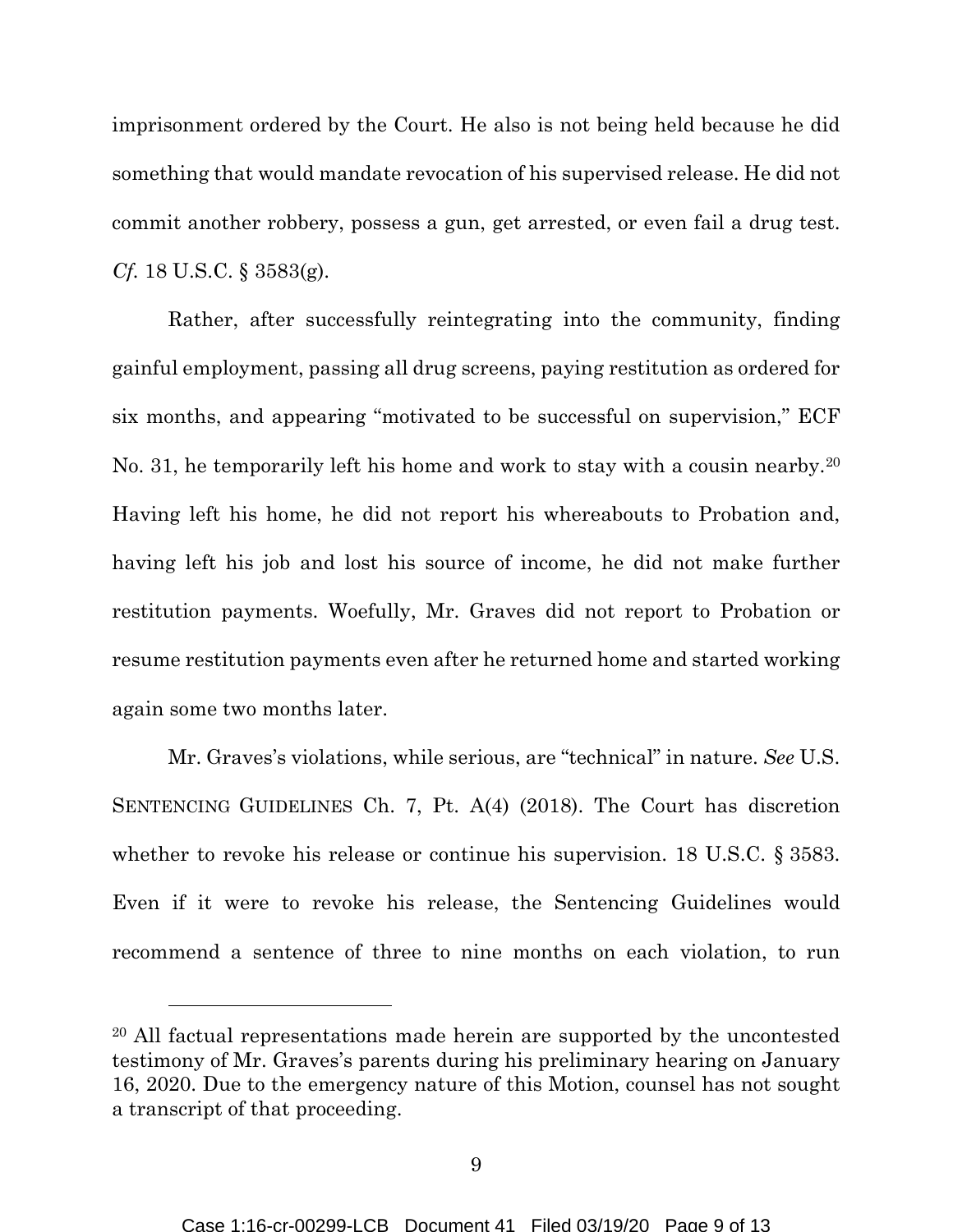imprisonment ordered by the Court. He also is not being held because he did something that would mandate revocation of his supervised release. He did not commit another robbery, possess a gun, get arrested, or even fail a drug test. *Cf.* 18 U.S.C. § 3583(g).

Rather, after successfully reintegrating into the community, finding gainful employment, passing all drug screens, paying restitution as ordered for six months, and appearing "motivated to be successful on supervision," ECF No. 31, he temporarily left his home and work to stay with a cousin nearby.<sup>20</sup> Having left his home, he did not report his whereabouts to Probation and, having left his job and lost his source of income, he did not make further restitution payments. Woefully, Mr. Graves did not report to Probation or resume restitution payments even after he returned home and started working again some two months later.

Mr. Graves's violations, while serious, are "technical" in nature. *See* U.S. SENTENCING GUIDELINES Ch. 7, Pt. A(4) (2018). The Court has discretion whether to revoke his release or continue his supervision. 18 U.S.C. § 3583. Even if it were to revoke his release, the Sentencing Guidelines would recommend a sentence of three to nine months on each violation, to run

 $\overline{a}$ 

<sup>20</sup> All factual representations made herein are supported by the uncontested testimony of Mr. Graves's parents during his preliminary hearing on January 16, 2020. Due to the emergency nature of this Motion, counsel has not sought a transcript of that proceeding.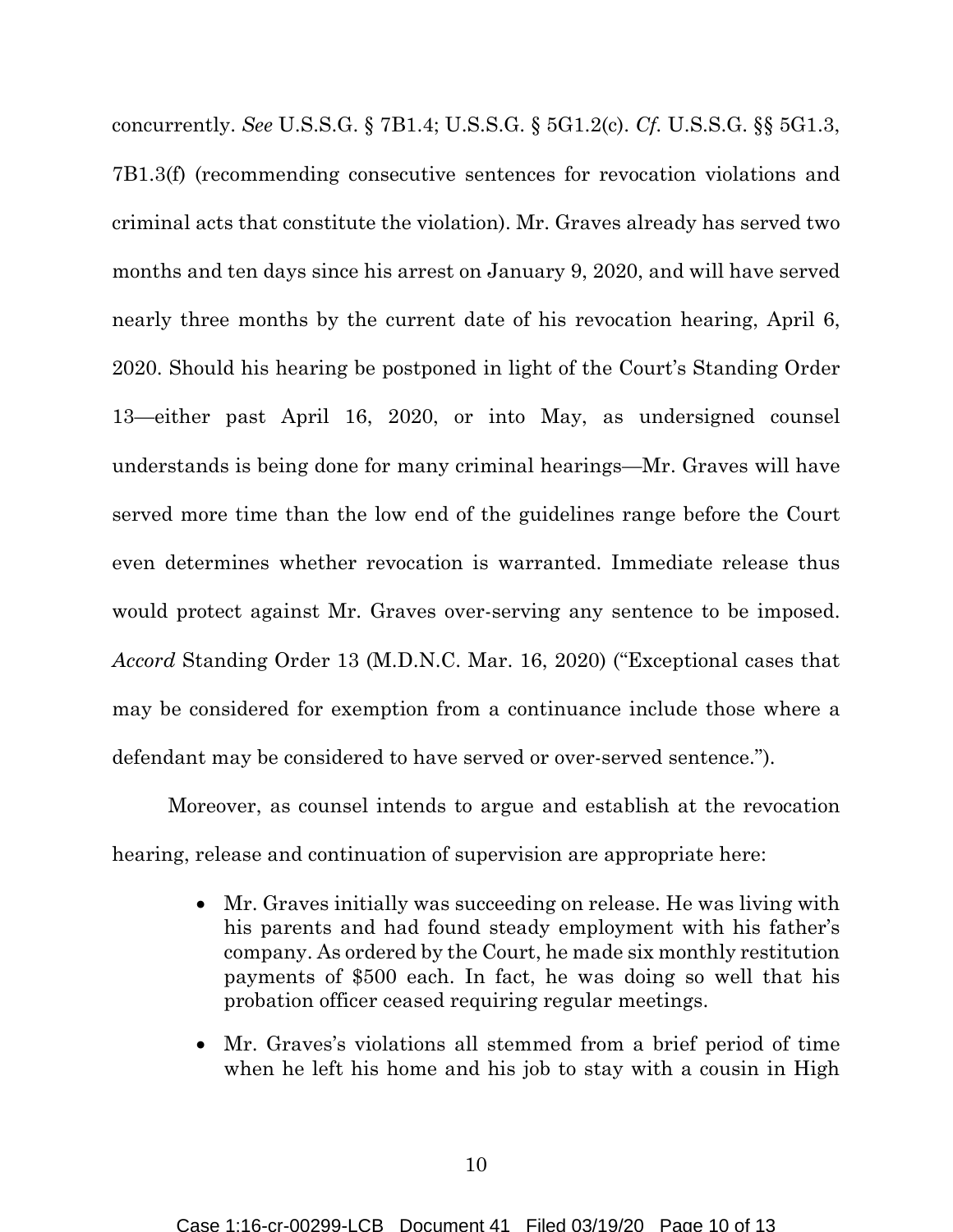concurrently. *See* U.S.S.G. § 7B1.4; U.S.S.G. § 5G1.2(c). *Cf.* U.S.S.G. §§ 5G1.3, 7B1.3(f) (recommending consecutive sentences for revocation violations and criminal acts that constitute the violation). Mr. Graves already has served two months and ten days since his arrest on January 9, 2020, and will have served nearly three months by the current date of his revocation hearing, April 6, 2020. Should his hearing be postponed in light of the Court's Standing Order 13—either past April 16, 2020, or into May, as undersigned counsel understands is being done for many criminal hearings—Mr. Graves will have served more time than the low end of the guidelines range before the Court even determines whether revocation is warranted. Immediate release thus would protect against Mr. Graves over-serving any sentence to be imposed. *Accord* Standing Order 13 (M.D.N.C. Mar. 16, 2020) ("Exceptional cases that may be considered for exemption from a continuance include those where a defendant may be considered to have served or over-served sentence.").

Moreover, as counsel intends to argue and establish at the revocation hearing, release and continuation of supervision are appropriate here:

- Mr. Graves initially was succeeding on release. He was living with his parents and had found steady employment with his father's company. As ordered by the Court, he made six monthly restitution payments of \$500 each. In fact, he was doing so well that his probation officer ceased requiring regular meetings.
- Mr. Graves's violations all stemmed from a brief period of time when he left his home and his job to stay with a cousin in High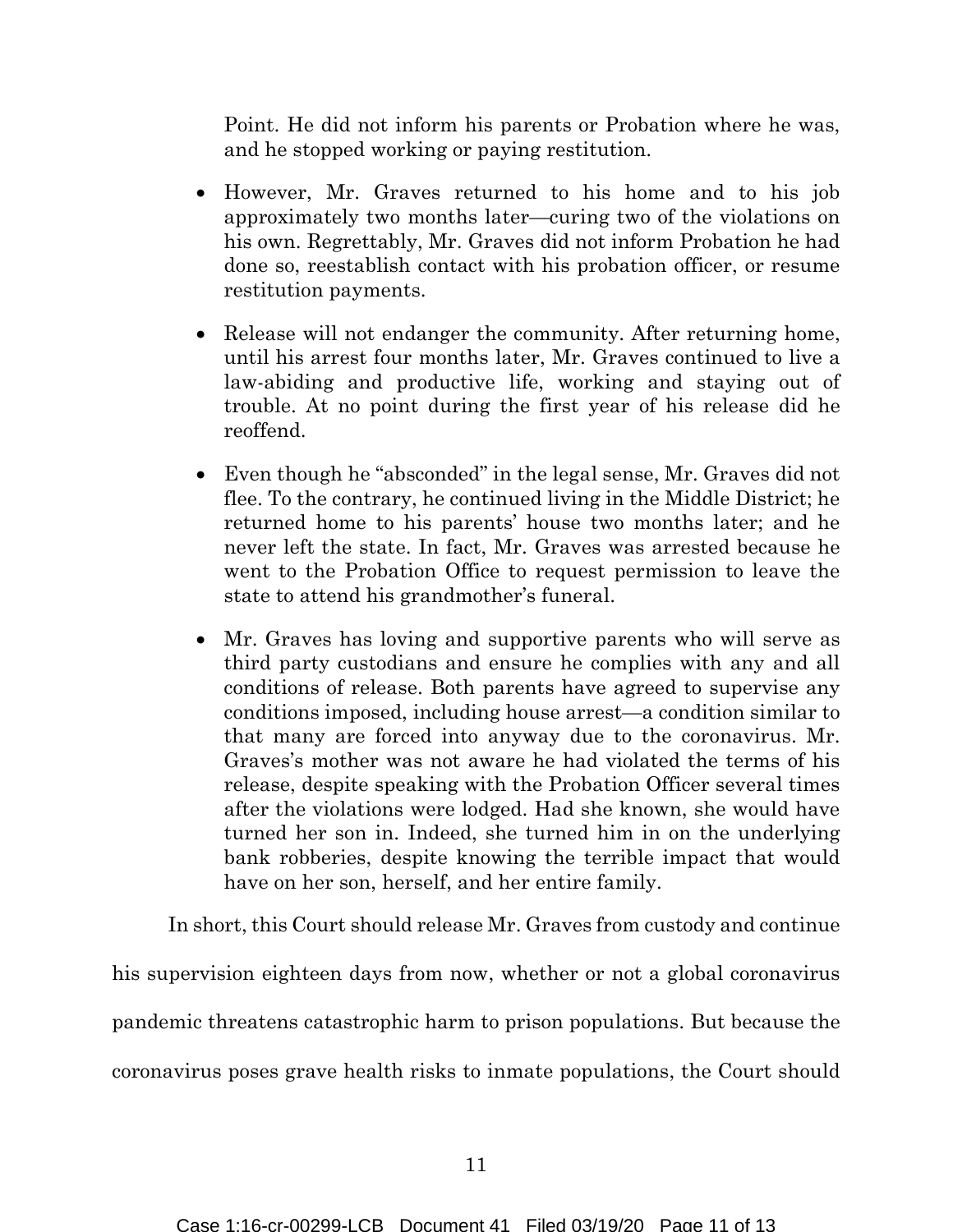Point. He did not inform his parents or Probation where he was, and he stopped working or paying restitution.

- However, Mr. Graves returned to his home and to his job approximately two months later—curing two of the violations on his own. Regrettably, Mr. Graves did not inform Probation he had done so, reestablish contact with his probation officer, or resume restitution payments.
- Release will not endanger the community. After returning home, until his arrest four months later, Mr. Graves continued to live a law-abiding and productive life, working and staying out of trouble. At no point during the first year of his release did he reoffend.
- Even though he "absconded" in the legal sense, Mr. Graves did not flee. To the contrary, he continued living in the Middle District; he returned home to his parents' house two months later; and he never left the state. In fact, Mr. Graves was arrested because he went to the Probation Office to request permission to leave the state to attend his grandmother's funeral.
- Mr. Graves has loving and supportive parents who will serve as third party custodians and ensure he complies with any and all conditions of release. Both parents have agreed to supervise any conditions imposed, including house arrest—a condition similar to that many are forced into anyway due to the coronavirus. Mr. Graves's mother was not aware he had violated the terms of his release, despite speaking with the Probation Officer several times after the violations were lodged. Had she known, she would have turned her son in. Indeed, she turned him in on the underlying bank robberies, despite knowing the terrible impact that would have on her son, herself, and her entire family.

In short, this Court should release Mr. Graves from custody and continue his supervision eighteen days from now, whether or not a global coronavirus pandemic threatens catastrophic harm to prison populations. But because the coronavirus poses grave health risks to inmate populations, the Court should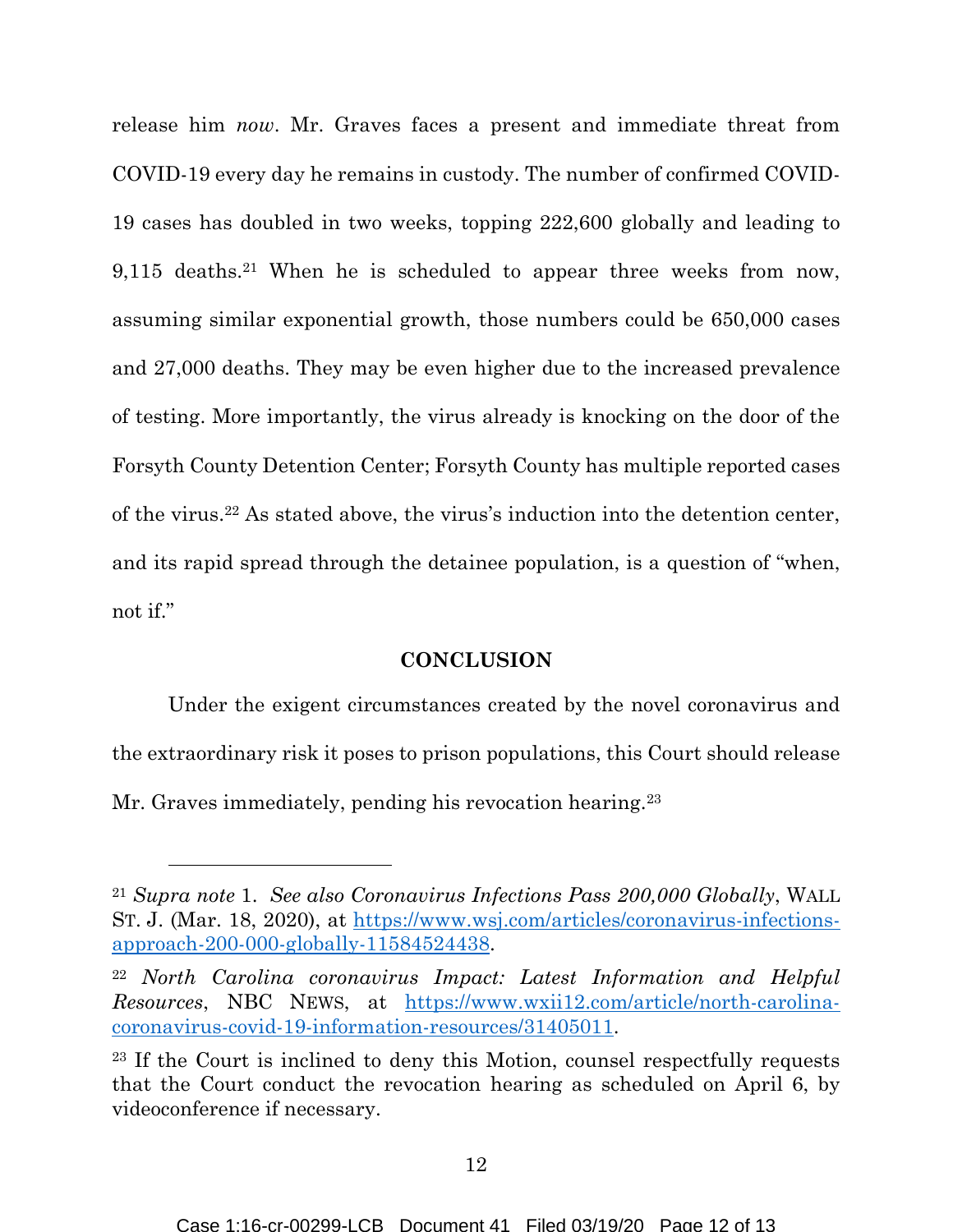release him *now*. Mr. Graves faces a present and immediate threat from COVID-19 every day he remains in custody. The number of confirmed COVID-19 cases has doubled in two weeks, topping 222,600 globally and leading to 9,115 deaths.21 When he is scheduled to appear three weeks from now, assuming similar exponential growth, those numbers could be 650,000 cases and 27,000 deaths. They may be even higher due to the increased prevalence of testing. More importantly, the virus already is knocking on the door of the Forsyth County Detention Center; Forsyth County has multiple reported cases of the virus.22 As stated above, the virus's induction into the detention center, and its rapid spread through the detainee population, is a question of "when, not if."

#### **CONCLUSION**

Under the exigent circumstances created by the novel coronavirus and the extraordinary risk it poses to prison populations, this Court should release Mr. Graves immediately, pending his revocation hearing.<sup>23</sup>

<sup>21</sup> *Supra note* 1. *See also Coronavirus Infections Pass 200,000 Globally*, WALL ST. J. (Mar. 18, 2020), at [https://www.wsj.com/articles/coronavirus-infections](https://www.wsj.com/articles/coronavirus-infections-approach-200-000-globally-11584524438)[approach-200-000-globally-11584524438.](https://www.wsj.com/articles/coronavirus-infections-approach-200-000-globally-11584524438)

<sup>22</sup> *North Carolina coronavirus Impact: Latest Information and Helpful Resources*, NBC NEWS, at [https://www.wxii12.com/article/north-carolina](https://www.wxii12.com/article/north-carolina-coronavirus-covid-19-information-resources/31405011)[coronavirus-covid-19-information-resources/31405011.](https://www.wxii12.com/article/north-carolina-coronavirus-covid-19-information-resources/31405011)

<sup>23</sup> If the Court is inclined to deny this Motion, counsel respectfully requests that the Court conduct the revocation hearing as scheduled on April 6, by videoconference if necessary.